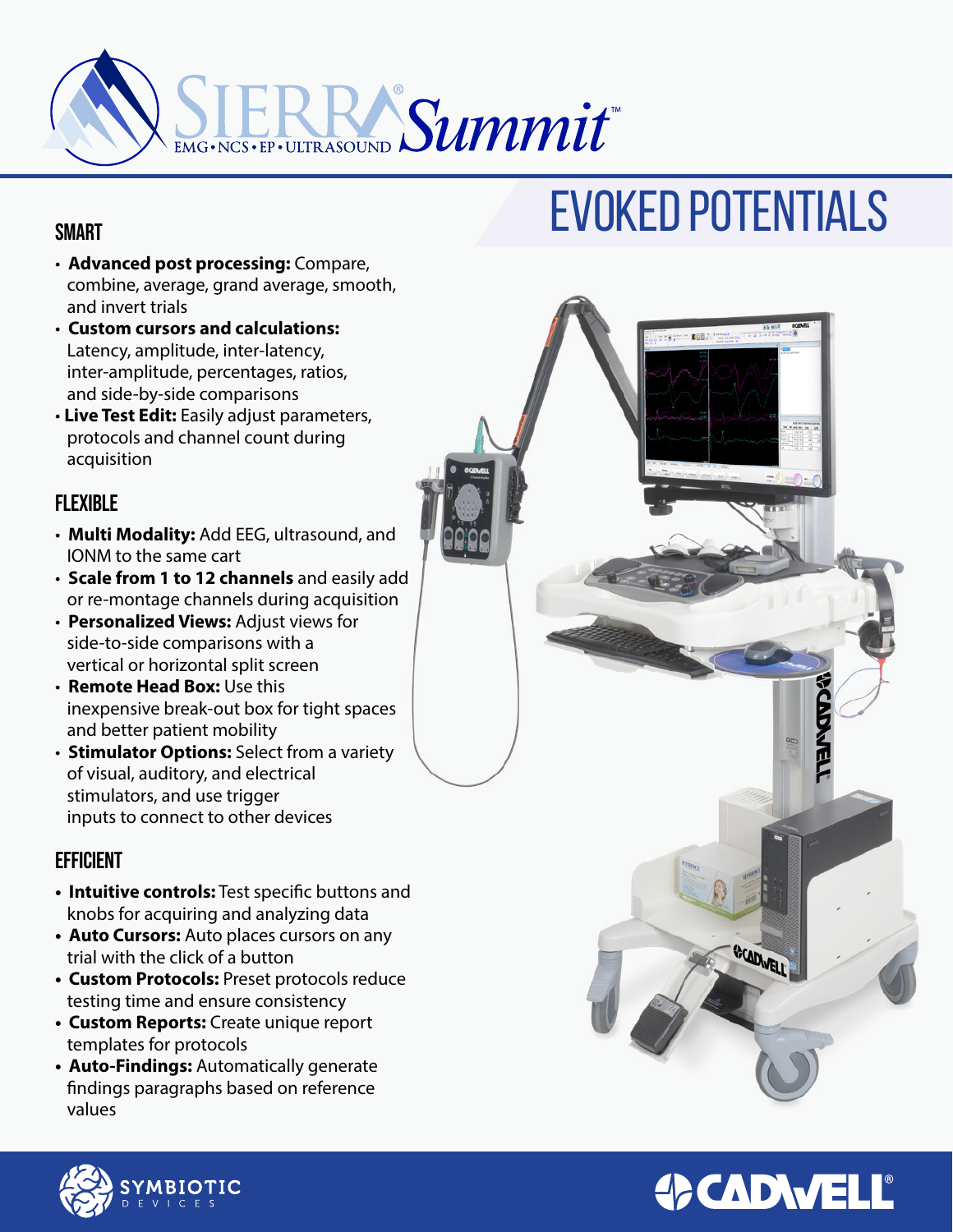

## **SMART**

- **Advanced post processing:** Compare, combine, average, grand average, smooth, and invert trials
- **Custom cursors and calculations:** Latency, amplitude, inter-latency, inter-amplitude, percentages, ratios, and side-by-side comparisons
- **Live Test Edit:** Easily adjust parameters, protocols and channel count during acquisition

## **FLEXIBLE**

- **Multi Modality:** Add EEG, ultrasound, and IONM to the same cart
- **Scale from 1 to 12 channels** and easily add or re-montage channels during acquisition
- **Personalized Views:** Adjust views for side-to-side comparisons with a vertical or horizontal split screen
- **Remote Head Box:** Use this inexpensive break-out box for tight spaces and better patient mobility
- **Stimulator Options:** Select from a variety of visual, auditory, and electrical stimulators, and use trigger inputs to connect to other devices

## **EFFICIENT**

- **Intuitive controls:** Test specific buttons and knobs for acquiring and analyzing data
- **Auto Cursors:** Auto places cursors on any trial with the click of a button
- **Custom Protocols:** Preset protocols reduce testing time and ensure consistency
- **Custom Reports:** Create unique report templates for protocols
- **Auto-Findings:** Automatically generate findings paragraphs based on reference values

# EVOKED POTENTIALS



## **OCADWELL®**